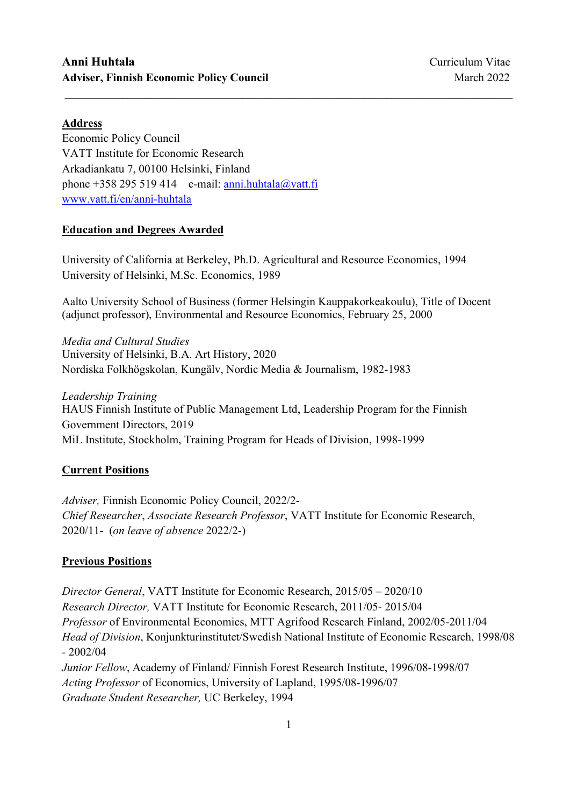## Address

Economic Policy Council VATT Institute for Economic Research Arkadiankatu 7, 00100 Helsinki, Finland phone +358 295 519 414 e-mail:  $anni.html$ <sub>ala</sub>@vatt.fi www.vatt.fi/en/anni-huhtala

#### Education and Degrees Awarded

University of California at Berkeley, Ph.D. Agricultural and Resource Economics, 1994 University of Helsinki, M.Sc. Economics, 1989

Aalto University School of Business (former Helsingin Kauppakorkeakoulu), Title of Docent (adjunct professor), Environmental and Resource Economics, February 25, 2000

\_\_\_\_\_\_\_\_\_\_\_\_\_\_\_\_\_\_\_\_\_\_\_\_\_\_\_\_\_\_\_\_\_\_\_\_\_\_\_\_\_\_\_\_\_\_\_\_\_\_\_\_\_\_\_\_\_\_\_\_\_\_\_\_\_\_\_\_\_\_\_\_\_\_\_\_\_\_

Media and Cultural Studies University of Helsinki, B.A. Art History, 2020 Nordiska Folkhögskolan, Kungälv, Nordic Media & Journalism, 1982-1983

Leadership Training HAUS Finnish Institute of Public Management Ltd, Leadership Program for the Finnish Government Directors, 2019 MiL Institute, Stockholm, Training Program for Heads of Division, 1998-1999

## Current Positions

Adviser, Finnish Economic Policy Council, 2022/2- Chief Researcher, Associate Research Professor, VATT Institute for Economic Research, 2020/11- (on leave of absence 2022/2-)

#### Previous Positions

Director General, VATT Institute for Economic Research, 2015/05 – 2020/10 Research Director, VATT Institute for Economic Research, 2011/05- 2015/04 Professor of Environmental Economics, MTT Agrifood Research Finland, 2002/05-2011/04 Head of Division, Konjunkturinstitutet/Swedish National Institute of Economic Research, 1998/08 - 2002/04 Junior Fellow, Academy of Finland/ Finnish Forest Research Institute, 1996/08-1998/07 Acting Professor of Economics, University of Lapland, 1995/08-1996/07

Graduate Student Researcher, UC Berkeley, 1994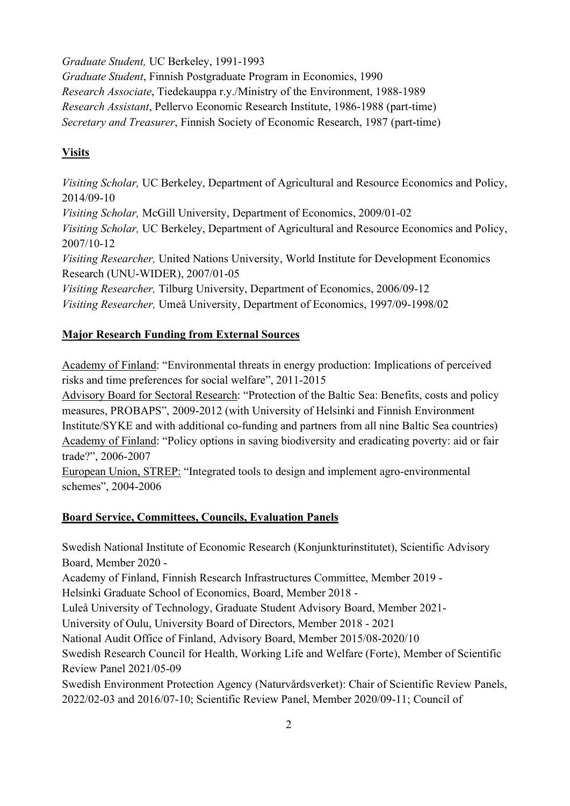Graduate Student, UC Berkeley, 1991-1993

Graduate Student, Finnish Postgraduate Program in Economics, 1990 Research Associate, Tiedekauppa r.y./Ministry of the Environment, 1988-1989 Research Assistant, Pellervo Economic Research Institute, 1986-1988 (part-time) Secretary and Treasurer, Finnish Society of Economic Research, 1987 (part-time)

# **Visits**

Visiting Scholar, UC Berkeley, Department of Agricultural and Resource Economics and Policy, 2014/09-10 Visiting Scholar, McGill University, Department of Economics, 2009/01-02 Visiting Scholar, UC Berkeley, Department of Agricultural and Resource Economics and Policy, 2007/10-12 Visiting Researcher, United Nations University, World Institute for Development Economics Research (UNU-WIDER), 2007/01-05 Visiting Researcher, Tilburg University, Department of Economics, 2006/09-12 Visiting Researcher, Umeå University, Department of Economics, 1997/09-1998/02

# Major Research Funding from External Sources

Academy of Finland: "Environmental threats in energy production: Implications of perceived risks and time preferences for social welfare", 2011-2015

Advisory Board for Sectoral Research: "Protection of the Baltic Sea: Benefits, costs and policy measures, PROBAPS", 2009-2012 (with University of Helsinki and Finnish Environment Institute/SYKE and with additional co-funding and partners from all nine Baltic Sea countries) Academy of Finland: "Policy options in saving biodiversity and eradicating poverty: aid or fair trade?", 2006-2007

European Union, STREP: "Integrated tools to design and implement agro-environmental schemes", 2004-2006

# Board Service, Committees, Councils, Evaluation Panels

Swedish National Institute of Economic Research (Konjunkturinstitutet), Scientific Advisory Board, Member 2020 -

Academy of Finland, Finnish Research Infrastructures Committee, Member 2019 -

Helsinki Graduate School of Economics, Board, Member 2018 -

Luleå University of Technology, Graduate Student Advisory Board, Member 2021-

University of Oulu, University Board of Directors, Member 2018 - 2021

National Audit Office of Finland, Advisory Board, Member 2015/08-2020/10

Swedish Research Council for Health, Working Life and Welfare (Forte), Member of Scientific Review Panel 2021/05-09

Swedish Environment Protection Agency (Naturvårdsverket): Chair of Scientific Review Panels, 2022/02-03 and 2016/07-10; Scientific Review Panel, Member 2020/09-11; Council of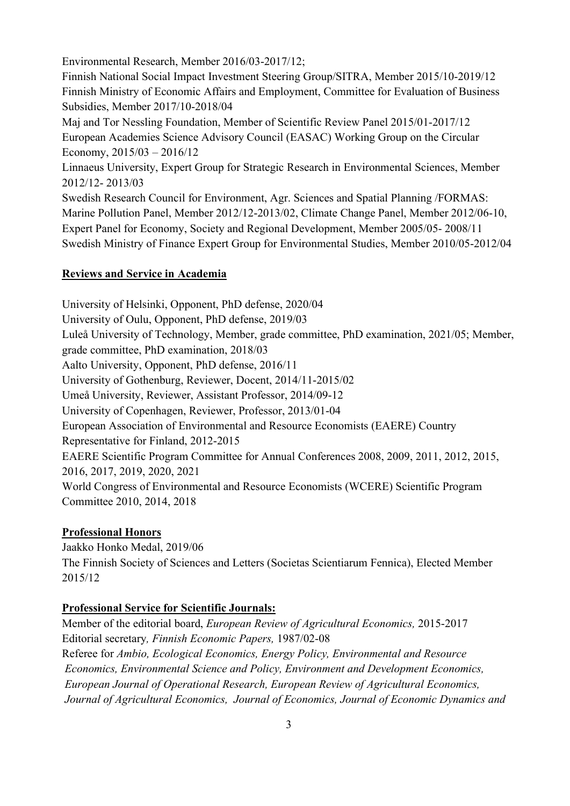Environmental Research, Member 2016/03-2017/12;

Finnish National Social Impact Investment Steering Group/SITRA, Member 2015/10-2019/12 Finnish Ministry of Economic Affairs and Employment, Committee for Evaluation of Business Subsidies, Member 2017/10-2018/04

Maj and Tor Nessling Foundation, Member of Scientific Review Panel 2015/01-2017/12 European Academies Science Advisory Council (EASAC) Working Group on the Circular Economy,  $2015/03 - 2016/12$ 

Linnaeus University, Expert Group for Strategic Research in Environmental Sciences, Member 2012/12- 2013/03

Swedish Research Council for Environment, Agr. Sciences and Spatial Planning /FORMAS: Marine Pollution Panel, Member 2012/12-2013/02, Climate Change Panel, Member 2012/06-10, Expert Panel for Economy, Society and Regional Development, Member 2005/05- 2008/11 Swedish Ministry of Finance Expert Group for Environmental Studies, Member 2010/05-2012/04

## Reviews and Service in Academia

University of Helsinki, Opponent, PhD defense, 2020/04 University of Oulu, Opponent, PhD defense, 2019/03 Luleå University of Technology, Member, grade committee, PhD examination, 2021/05; Member, grade committee, PhD examination, 2018/03 Aalto University, Opponent, PhD defense, 2016/11 University of Gothenburg, Reviewer, Docent, 2014/11-2015/02 Umeå University, Reviewer, Assistant Professor, 2014/09-12 University of Copenhagen, Reviewer, Professor, 2013/01-04 European Association of Environmental and Resource Economists (EAERE) Country Representative for Finland, 2012-2015 EAERE Scientific Program Committee for Annual Conferences 2008, 2009, 2011, 2012, 2015, 2016, 2017, 2019, 2020, 2021 World Congress of Environmental and Resource Economists (WCERE) Scientific Program Committee 2010, 2014, 2018

# Professional Honors

Jaakko Honko Medal, 2019/06 The Finnish Society of Sciences and Letters (Societas Scientiarum Fennica), Elected Member 2015/12

## Professional Service for Scientific Journals:

Member of the editorial board, European Review of Agricultural Economics, 2015-2017 Editorial secretary, Finnish Economic Papers, 1987/02-08 Referee for Ambio, Ecological Economics, Energy Policy, Environmental and Resource Economics, Environmental Science and Policy, Environment and Development Economics, European Journal of Operational Research, European Review of Agricultural Economics, Journal of Agricultural Economics, Journal of Economics, Journal of Economic Dynamics and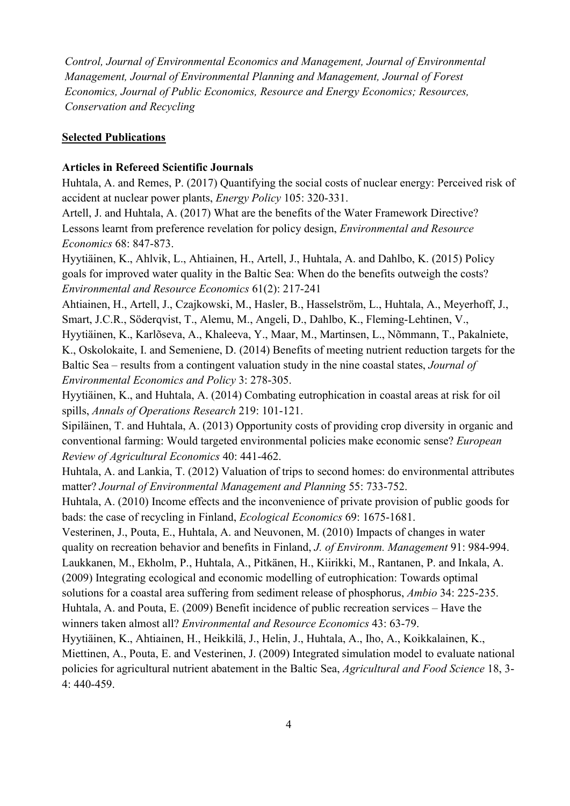Control, Journal of Environmental Economics and Management, Journal of Environmental Management, Journal of Environmental Planning and Management, Journal of Forest Economics, Journal of Public Economics, Resource and Energy Economics; Resources, Conservation and Recycling

#### Selected Publications

#### Articles in Refereed Scientific Journals

Huhtala, A. and Remes, P. (2017) Quantifying the social costs of nuclear energy: Perceived risk of accident at nuclear power plants, Energy Policy 105: 320-331.

Artell, J. and Huhtala, A. (2017) What are the benefits of the Water Framework Directive? Lessons learnt from preference revelation for policy design, Environmental and Resource Economics 68: 847-873.

Hyytiäinen, K., Ahlvik, L., Ahtiainen, H., Artell, J., Huhtala, A. and Dahlbo, K. (2015) Policy goals for improved water quality in the Baltic Sea: When do the benefits outweigh the costs? Environmental and Resource Economics 61(2): 217-241

Ahtiainen, H., Artell, J., Czajkowski, M., Hasler, B., Hasselström, L., Huhtala, A., Meyerhoff, J., Smart, J.C.R., Söderqvist, T., Alemu, M., Angeli, D., Dahlbo, K., Fleming-Lehtinen, V.,

Hyytiäinen, K., Karlõseva, A., Khaleeva, Y., Maar, M., Martinsen, L., Nõmmann, T., Pakalniete, K., Oskolokaite, I. and Semeniene, D. (2014) Benefits of meeting nutrient reduction targets for the Baltic Sea – results from a contingent valuation study in the nine coastal states, *Journal of* Environmental Economics and Policy 3: 278-305.

Hyytiäinen, K., and Huhtala, A. (2014) Combating eutrophication in coastal areas at risk for oil spills, Annals of Operations Research 219: 101-121.

Sipiläinen, T. and Huhtala, A. (2013) Opportunity costs of providing crop diversity in organic and conventional farming: Would targeted environmental policies make economic sense? European Review of Agricultural Economics 40: 441-462.

Huhtala, A. and Lankia, T. (2012) Valuation of trips to second homes: do environmental attributes matter? Journal of Environmental Management and Planning 55: 733-752.

Huhtala, A. (2010) Income effects and the inconvenience of private provision of public goods for bads: the case of recycling in Finland, Ecological Economics 69: 1675-1681.

Vesterinen, J., Pouta, E., Huhtala, A. and Neuvonen, M. (2010) Impacts of changes in water quality on recreation behavior and benefits in Finland, *J. of Environm. Management* 91: 984-994. Laukkanen, M., Ekholm, P., Huhtala, A., Pitkänen, H., Kiirikki, M., Rantanen, P. and Inkala, A. (2009) Integrating ecological and economic modelling of eutrophication: Towards optimal solutions for a coastal area suffering from sediment release of phosphorus, Ambio 34: 225-235. Huhtala, A. and Pouta, E. (2009) Benefit incidence of public recreation services – Have the winners taken almost all? Environmental and Resource Economics 43: 63-79.

Hyytiäinen, K., Ahtiainen, H., Heikkilä, J., Helin, J., Huhtala, A., Iho, A., Koikkalainen, K., Miettinen, A., Pouta, E. and Vesterinen, J. (2009) Integrated simulation model to evaluate national policies for agricultural nutrient abatement in the Baltic Sea, Agricultural and Food Science 18, 3- 4: 440-459.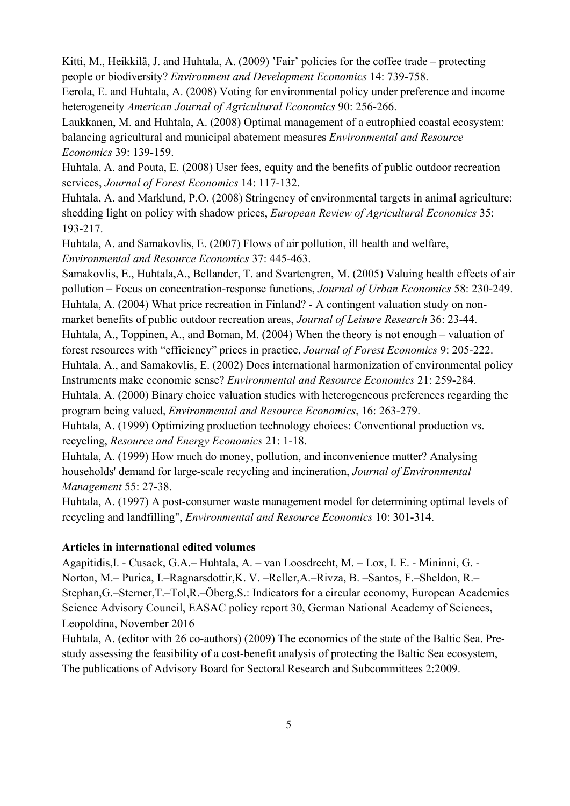Kitti, M., Heikkilä, J. and Huhtala, A. (2009) 'Fair' policies for the coffee trade – protecting people or biodiversity? Environment and Development Economics 14: 739-758.

Eerola, E. and Huhtala, A. (2008) Voting for environmental policy under preference and income heterogeneity American Journal of Agricultural Economics 90: 256-266.

Laukkanen, M. and Huhtala, A. (2008) Optimal management of a eutrophied coastal ecosystem: balancing agricultural and municipal abatement measures Environmental and Resource Economics 39: 139-159.

Huhtala, A. and Pouta, E. (2008) User fees, equity and the benefits of public outdoor recreation services, Journal of Forest Economics 14: 117-132.

Huhtala, A. and Marklund, P.O. (2008) Stringency of environmental targets in animal agriculture: shedding light on policy with shadow prices, *European Review of Agricultural Economics* 35: 193-217.

Huhtala, A. and Samakovlis, E. (2007) Flows of air pollution, ill health and welfare, Environmental and Resource Economics 37: 445-463.

Samakovlis, E., Huhtala,A., Bellander, T. and Svartengren, M. (2005) Valuing health effects of air pollution – Focus on concentration-response functions, Journal of Urban Economics 58: 230-249. Huhtala, A. (2004) What price recreation in Finland? - A contingent valuation study on nonmarket benefits of public outdoor recreation areas, Journal of Leisure Research 36: 23-44.

Huhtala, A., Toppinen, A., and Boman, M. (2004) When the theory is not enough – valuation of forest resources with "efficiency" prices in practice, Journal of Forest Economics 9: 205-222. Huhtala, A., and Samakovlis, E. (2002) Does international harmonization of environmental policy

Instruments make economic sense? Environmental and Resource Economics 21: 259-284.

Huhtala, A. (2000) Binary choice valuation studies with heterogeneous preferences regarding the program being valued, Environmental and Resource Economics, 16: 263-279.

Huhtala, A. (1999) Optimizing production technology choices: Conventional production vs. recycling, Resource and Energy Economics 21: 1-18.

Huhtala, A. (1999) How much do money, pollution, and inconvenience matter? Analysing households' demand for large-scale recycling and incineration, Journal of Environmental Management 55: 27-38.

Huhtala, A. (1997) A post-consumer waste management model for determining optimal levels of recycling and landfilling", Environmental and Resource Economics 10: 301-314.

#### Articles in international edited volumes

Agapitidis,I. ‐ Cusack, G.A.– Huhtala, A. – van Loosdrecht, M. – Lox, I. E. - Mininni, G. - Norton, M.– Purica, I.–Ragnarsdottir,K. V. –Reller,A.–Rivza, B. –Santos, F.–Sheldon, R.– Stephan,G.–Sterner,T.–Tol,R.–Öberg,S.: Indicators for a circular economy, European Academies Science Advisory Council, EASAC policy report 30, German National Academy of Sciences, Leopoldina, November 2016

Huhtala, A. (editor with 26 co-authors) (2009) The economics of the state of the Baltic Sea. Prestudy assessing the feasibility of a cost-benefit analysis of protecting the Baltic Sea ecosystem, The publications of Advisory Board for Sectoral Research and Subcommittees 2:2009.